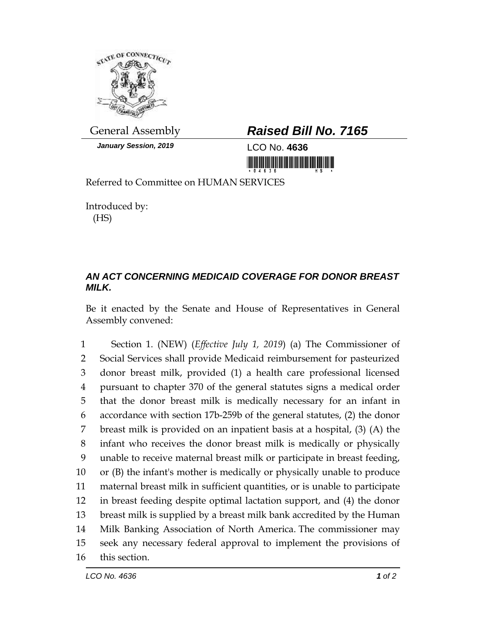

*January Session, 2019* LCO No. **4636**

## General Assembly *Raised Bill No. 7165*

<u> III de la contrada de la contrada de la contrada de la con</u>

Referred to Committee on HUMAN SERVICES

Introduced by: (HS)

## *AN ACT CONCERNING MEDICAID COVERAGE FOR DONOR BREAST MILK.*

Be it enacted by the Senate and House of Representatives in General Assembly convened:

 Section 1. (NEW) (*Effective July 1, 2019*) (a) The Commissioner of Social Services shall provide Medicaid reimbursement for pasteurized donor breast milk, provided (1) a health care professional licensed pursuant to chapter 370 of the general statutes signs a medical order that the donor breast milk is medically necessary for an infant in accordance with section 17b-259b of the general statutes, (2) the donor breast milk is provided on an inpatient basis at a hospital, (3) (A) the infant who receives the donor breast milk is medically or physically unable to receive maternal breast milk or participate in breast feeding, or (B) the infant's mother is medically or physically unable to produce maternal breast milk in sufficient quantities, or is unable to participate in breast feeding despite optimal lactation support, and (4) the donor breast milk is supplied by a breast milk bank accredited by the Human Milk Banking Association of North America. The commissioner may seek any necessary federal approval to implement the provisions of this section.